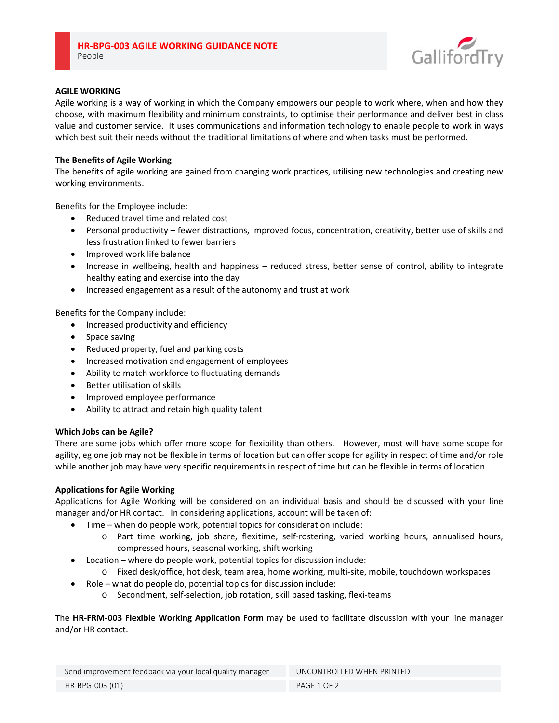

# **AGILE WORKING**

Agile working is a way of working in which the Company empowers our people to work where, when and how they choose, with maximum flexibility and minimum constraints, to optimise their performance and deliver best in class value and customer service. It uses communications and information technology to enable people to work in ways which best suit their needs without the traditional limitations of where and when tasks must be performed.

## **The Benefits of Agile Working**

The benefits of agile working are gained from changing work practices, utilising new technologies and creating new working environments.

Benefits for the Employee include:

- Reduced travel time and related cost
- Personal productivity fewer distractions, improved focus, concentration, creativity, better use of skills and less frustration linked to fewer barriers
- Improved work life balance
- Increase in wellbeing, health and happiness reduced stress, better sense of control, ability to integrate healthy eating and exercise into the day
- Increased engagement as a result of the autonomy and trust at work

Benefits for the Company include:

- Increased productivity and efficiency
- Space saving
- Reduced property, fuel and parking costs
- Increased motivation and engagement of employees
- Ability to match workforce to fluctuating demands
- Better utilisation of skills
- Improved employee performance
- Ability to attract and retain high quality talent

#### **Which Jobs can be Agile?**

There are some jobs which offer more scope for flexibility than others. However, most will have some scope for agility, eg one job may not be flexible in terms of location but can offer scope for agility in respect of time and/or role while another job may have very specific requirements in respect of time but can be flexible in terms of location.

#### **Applications for Agile Working**

Applications for Agile Working will be considered on an individual basis and should be discussed with your line manager and/or HR contact. In considering applications, account will be taken of:

- Time when do people work, potential topics for consideration include:
	- o Part time working, job share, flexitime, self‐rostering, varied working hours, annualised hours, compressed hours, seasonal working, shift working
- Location where do people work, potential topics for discussion include:
	- o Fixed desk/office, hot desk, team area, home working, multi‐site, mobile, touchdown workspaces
- Role what do people do, potential topics for discussion include:
	- o Secondment, self‐selection, job rotation, skill based tasking, flexi‐teams

The **HR‐FRM‐003 Flexible Working Application Form** may be used to facilitate discussion with your line manager and/or HR contact.